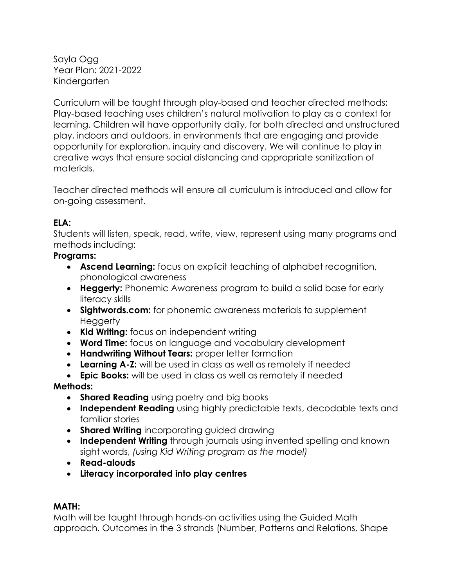Sayla Ogg Year Plan: 2021-2022 Kindergarten

Curriculum will be taught through play-based and teacher directed methods; Play-based teaching uses children's natural motivation to play as a context for learning. Children will have opportunity daily, for both directed and unstructured play, indoors and outdoors, in environments that are engaging and provide opportunity for exploration, inquiry and discovery. We will continue to play in creative ways that ensure social distancing and appropriate sanitization of materials.

Teacher directed methods will ensure all curriculum is introduced and allow for on-going assessment.

## **ELA:**

Students will listen, speak, read, write, view, represent using many programs and methods including:

## **Programs:**

- **Ascend Learning:** focus on explicit teaching of alphabet recognition, phonological awareness
- **Heggerty:** Phonemic Awareness program to build a solid base for early literacy skills
- **Sightwords.com:** for phonemic awareness materials to supplement **Heggerty**
- **Kid Writing:** focus on independent writing
- **Word Time:** focus on language and vocabulary development
- **Handwriting Without Tears:** proper letter formation
- **Learning A-Z:** will be used in class as well as remotely if needed
- **Epic Books:** will be used in class as well as remotely if needed

# **Methods:**

- **Shared Reading** using poetry and big books
- **Independent Reading** using highly predictable texts, decodable texts and familiar stories
- **Shared Writing** incorporating guided drawing
- **Independent Writing** through journals using invented spelling and known sight words, *(using Kid Writing program as the model)*
- **Read-alouds**
- **Literacy incorporated into play centres**

# **MATH:**

Math will be taught through hands-on activities using the Guided Math approach. Outcomes in the 3 strands (Number, Patterns and Relations, Shape